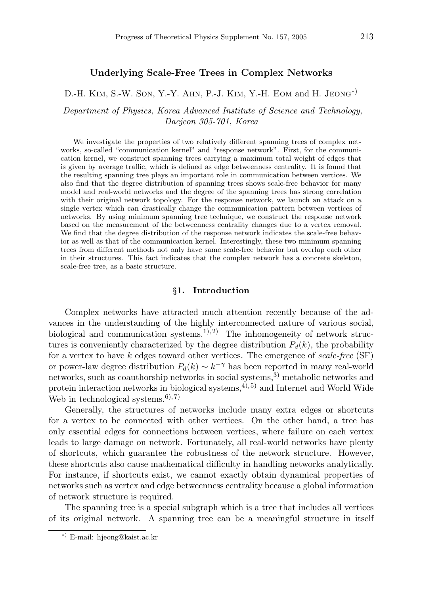# **Underlying Scale-Free Trees in Complex Networks**

### D.-H. Kim, S.-W. Son, Y.-Y. Ahn, P.-J. Kim, Y.-H. Eom and H. Jeong∗)

*Department of Physics, Korea Advanced Institute of Science and Technology, Daejeon 305-701, Korea*

We investigate the properties of two relatively different spanning trees of complex networks, so-called "communication kernel" and "response network". First, for the communication kernel, we construct spanning trees carrying a maximum total weight of edges that is given by average traffic, which is defined as edge betweenness centrality. It is found that the resulting spanning tree plays an important role in communication between vertices. We also find that the degree distribution of spanning trees shows scale-free behavior for many model and real-world networks and the degree of the spanning trees has strong correlation with their original network topology. For the response network, we launch an attack on a single vertex which can drastically change the communication pattern between vertices of networks. By using minimum spanning tree technique, we construct the response network based on the measurement of the betweenness centrality changes due to a vertex removal. We find that the degree distribution of the response network indicates the scale-free behavior as well as that of the communication kernel. Interestingly, these two minimum spanning trees from different methods not only have same scale-free behavior but overlap each other in their structures. This fact indicates that the complex network has a concrete skeleton, scale-free tree, as a basic structure.

# *§***1. Introduction**

Complex networks have attracted much attention recently because of the advances in the understanding of the highly interconnected nature of various social, biological and communication systems.<sup>1), 2)</sup> The inhomogeneity of network structures is conveniently characterized by the degree distribution  $P_d(k)$ , the probability for a vertex to have k edges toward other vertices. The emergence of *scale-free* (SF) or power-law degree distribution  $P_d(k) \sim k^{-\gamma}$  has been reported in many real-world networks, such as coauthorship networks in social systems,<sup>3)</sup> metabolic networks and protein interaction networks in biological systems,<sup>4), 5)</sup> and Internet and World Wide Web in technological systems.<sup>6), 7)</sup>

Generally, the structures of networks include many extra edges or shortcuts for a vertex to be connected with other vertices. On the other hand, a tree has only essential edges for connections between vertices, where failure on each vertex leads to large damage on network. Fortunately, all real-world networks have plenty of shortcuts, which guarantee the robustness of the network structure. However, these shortcuts also cause mathematical difficulty in handling networks analytically. For instance, if shortcuts exist, we cannot exactly obtain dynamical properties of networks such as vertex and edge betweenness centrality because a global information of network structure is required.

The spanning tree is a special subgraph which is a tree that includes all vertices of its original network. A spanning tree can be a meaningful structure in itself

<sup>∗</sup>) E-mail: hjeong@kaist.ac.kr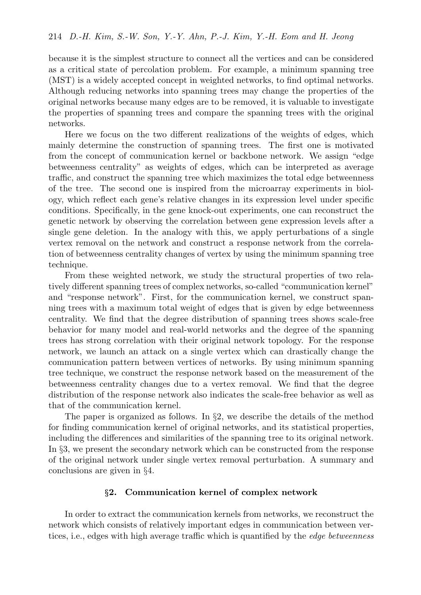because it is the simplest structure to connect all the vertices and can be considered as a critical state of percolation problem. For example, a minimum spanning tree (MST) is a widely accepted concept in weighted networks, to find optimal networks. Although reducing networks into spanning trees may change the properties of the original networks because many edges are to be removed, it is valuable to investigate the properties of spanning trees and compare the spanning trees with the original networks.

Here we focus on the two different realizations of the weights of edges, which mainly determine the construction of spanning trees. The first one is motivated from the concept of communication kernel or backbone network. We assign "edge betweenness centrality" as weights of edges, which can be interpreted as average traffic, and construct the spanning tree which maximizes the total edge betweenness of the tree. The second one is inspired from the microarray experiments in biology, which reflect each gene's relative changes in its expression level under specific conditions. Specifically, in the gene knock-out experiments, one can reconstruct the genetic network by observing the correlation between gene expression levels after a single gene deletion. In the analogy with this, we apply perturbations of a single vertex removal on the network and construct a response network from the correlation of betweenness centrality changes of vertex by using the minimum spanning tree technique.

From these weighted network, we study the structural properties of two relatively different spanning trees of complex networks, so-called "communication kernel" and "response network". First, for the communication kernel, we construct spanning trees with a maximum total weight of edges that is given by edge betweenness centrality. We find that the degree distribution of spanning trees shows scale-free behavior for many model and real-world networks and the degree of the spanning trees has strong correlation with their original network topology. For the response network, we launch an attack on a single vertex which can drastically change the communication pattern between vertices of networks. By using minimum spanning tree technique, we construct the response network based on the measurement of the betweenness centrality changes due to a vertex removal. We find that the degree distribution of the response network also indicates the scale-free behavior as well as that of the communication kernel.

The paper is organized as follows. In §2, we describe the details of the method for finding communication kernel of original networks, and its statistical properties, including the differences and similarities of the spanning tree to its original network. In §3, we present the secondary network which can be constructed from the response of the original network under single vertex removal perturbation. A summary and conclusions are given in §4.

# *§***2. Communication kernel of complex network**

In order to extract the communication kernels from networks, we reconstruct the network which consists of relatively important edges in communication between vertices, i.e., edges with high average traffic which is quantified by the *edge betweenness*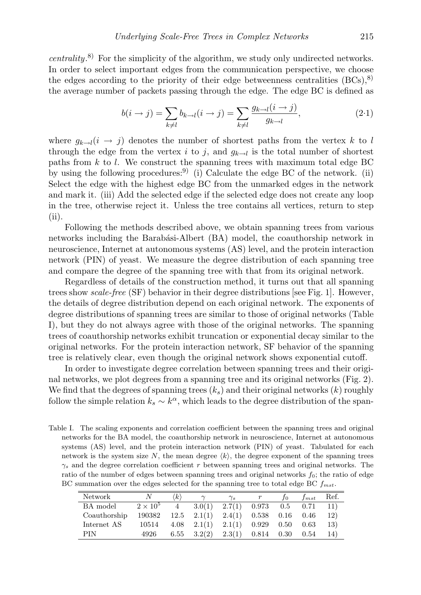*centrality*. 8) For the simplicity of the algorithm, we study only undirected networks. In order to select important edges from the communication perspective, we choose the edges according to the priority of their edge betweenness centralities  $(BCs)$ ,<sup>8)</sup> the average number of packets passing through the edge. The edge BC is defined as

$$
b(i \to j) = \sum_{k \neq l} b_{k \to l}(i \to j) = \sum_{k \neq l} \frac{g_{k \to l}(i \to j)}{g_{k \to l}},
$$
\n(2.1)

where  $g_{k\rightarrow l}(i \rightarrow j)$  denotes the number of shortest paths from the vertex k to l through the edge from the vertex i to j, and  $g_{k\rightarrow l}$  is the total number of shortest paths from  $k$  to  $l$ . We construct the spanning trees with maximum total edge BC by using the following procedures:<sup>9)</sup> (i) Calculate the edge BC of the network. (ii) Select the edge with the highest edge BC from the unmarked edges in the network and mark it. (iii) Add the selected edge if the selected edge does not create any loop in the tree, otherwise reject it. Unless the tree contains all vertices, return to step (ii).

Following the methods described above, we obtain spanning trees from various networks including the Barabási-Albert (BA) model, the coauthorship network in neuroscience, Internet at autonomous systems (AS) level, and the protein interaction network (PIN) of yeast. We measure the degree distribution of each spanning tree and compare the degree of the spanning tree with that from its original network.

Regardless of details of the construction method, it turns out that all spanning trees show *scale-free* (SF) behavior in their degree distributions [see Fig. 1]. However, the details of degree distribution depend on each original network. The exponents of degree distributions of spanning trees are similar to those of original networks (Table I), but they do not always agree with those of the original networks. The spanning trees of coauthorship networks exhibit truncation or exponential decay similar to the original networks. For the protein interaction network, SF behavior of the spanning tree is relatively clear, even though the original network shows exponential cutoff.

In order to investigate degree correlation between spanning trees and their original networks, we plot degrees from a spanning tree and its original networks (Fig. 2). We find that the degrees of spanning trees  $(k<sub>s</sub>)$  and their original networks  $(k)$  roughly follow the simple relation  $k_s \sim k^{\alpha}$ , which leads to the degree distribution of the span-

Table I. The scaling exponents and correlation coefficient between the spanning trees and original networks for the BA model, the coauthorship network in neuroscience, Internet at autonomous systems (AS) level, and the protein interaction network (PIN) of yeast. Tabulated for each network is the system size N, the mean degree  $\langle k \rangle$ , the degree exponent of the spanning trees  $\gamma_s$  and the degree correlation coefficient r between spanning trees and original networks. The ratio of the number of edges between spanning trees and original networks  $f_0$ ; the ratio of edge BC summation over the edges selected for the spanning tree to total edge BC f*mst*.

| Network      |               | k    |                     | $\gamma_s$ |             | Tο       | $t_{mst}$ | Ref. |
|--------------|---------------|------|---------------------|------------|-------------|----------|-----------|------|
| BA model     | $2\times10^5$ |      | 3.0(1)              | 2.7(1)     | $\,0.973\,$ | $0.5\,$  | 0.71      | 11)  |
| Coauthorship | 190382        |      | $12.5 \quad 2.1(1)$ | 2.4(1)     | 0.538       | 0.16     | 0.46      | 12)  |
| Internet AS  | 10514         | 4.08 | 2.1(1)              | 2.1(1)     | 0.929       | $0.50\,$ | 0.63      | 13)  |
| PIN          | 4926          | 6.55 | 3.2(2)              | 2.3(1)     | 0.814       | 0.30     | 0.54      | 14)  |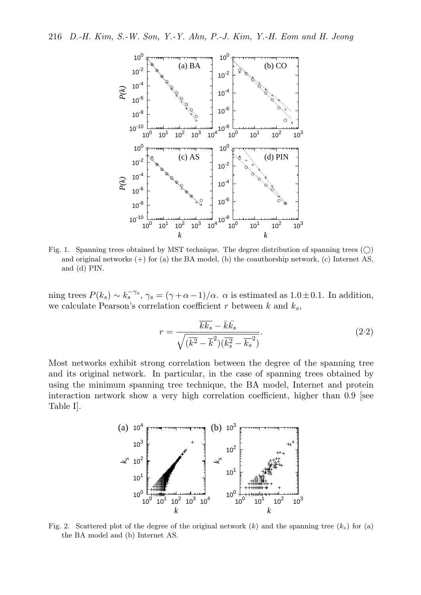

Fig. 1. Spanning trees obtained by MST technique. The degree distribution of spanning trees  $(\bigcap)$ and original networks  $(+)$  for  $(a)$  the BA model,  $(b)$  the coauthorship network,  $(c)$  Internet AS, and (d) PIN.

ning trees  $P(k_s) \sim k_s^{-\gamma_s}$ ,  $\gamma_s = (\gamma + \alpha - 1)/\alpha$ .  $\alpha$  is estimated as 1.0±0.1. In addition, we calculate Pearson's correlation coefficient r between  $k$  and  $k_s$ ,

$$
r = \frac{\overline{k}\overline{k_s} - \overline{k}\overline{k_s}}{\sqrt{(\overline{k^2} - \overline{k}^2)(\overline{k_s^2} - \overline{k_s}^2)}}.
$$
\n(2.2)

Most networks exhibit strong correlation between the degree of the spanning tree and its original network. In particular, in the case of spanning trees obtained by using the minimum spanning tree technique, the BA model, Internet and protein interaction network show a very high correlation coefficient, higher than 0.9 [see Table I].



Fig. 2. Scattered plot of the degree of the original network  $(k)$  and the spanning tree  $(k<sub>s</sub>)$  for (a) the BA model and (b) Internet AS.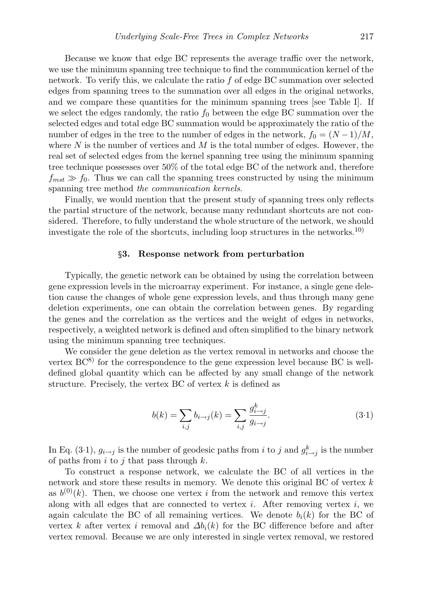Because we know that edge BC represents the average traffic over the network, we use the minimum spanning tree technique to find the communication kernel of the network. To verify this, we calculate the ratio f of edge BC summation over selected edges from spanning trees to the summation over all edges in the original networks, and we compare these quantities for the minimum spanning trees [see Table I]. If we select the edges randomly, the ratio  $f_0$  between the edge BC summation over the selected edges and total edge BC summation would be approximately the ratio of the number of edges in the tree to the number of edges in the network,  $f_0 = (N-1)/M$ , where  $N$  is the number of vertices and  $M$  is the total number of edges. However, the real set of selected edges from the kernel spanning tree using the minimum spanning tree technique possesses over 50% of the total edge BC of the network and, therefore  $f_{mst} \gg f_0$ . Thus we can call the spanning trees constructed by using the minimum spanning tree method *the communication kernels*.

Finally, we would mention that the present study of spanning trees only reflects the partial structure of the network, because many redundant shortcuts are not considered. Therefore, to fully understand the whole structure of the network, we should investigate the role of the shortcuts, including loop structures in the networks.<sup>10)</sup>

### *§***3. Response network from perturbation**

Typically, the genetic network can be obtained by using the correlation between gene expression levels in the microarray experiment. For instance, a single gene deletion cause the changes of whole gene expression levels, and thus through many gene deletion experiments, one can obtain the correlation between genes. By regarding the genes and the correlation as the vertices and the weight of edges in networks, respectively, a weighted network is defined and often simplified to the binary network using the minimum spanning tree techniques.

We consider the gene deletion as the vertex removal in networks and choose the vertex  $BC^{8}$  for the correspondence to the gene expression level because BC is welldefined global quantity which can be affected by any small change of the network structure. Precisely, the vertex BC of vertex  $k$  is defined as

$$
b(k) = \sum_{i,j} b_{i \to j}(k) = \sum_{i,j} \frac{g_{i \to j}^k}{g_{i \to j}}.
$$
\n(3.1)

In Eq. (3.1),  $g_{i\rightarrow j}$  is the number of geodesic paths from i to j and  $g_{i\rightarrow j}^k$  is the number<br>of paths from i to i that pass through k of paths from i to j that pass through  $k$ .

To construct a response network, we calculate the BC of all vertices in the network and store these results in memory. We denote this original BC of vertex  $k$ as  $b^{(0)}(k)$ . Then, we choose one vertex i from the network and remove this vertex along with all edges that are connected to vertex  $i$ . After removing vertex  $i$ , we again calculate the BC of all remaining vertices. We denote  $b_i(k)$  for the BC of vertex k after vertex i removal and  $\Delta b_i(k)$  for the BC difference before and after vertex removal. Because we are only interested in single vertex removal, we restored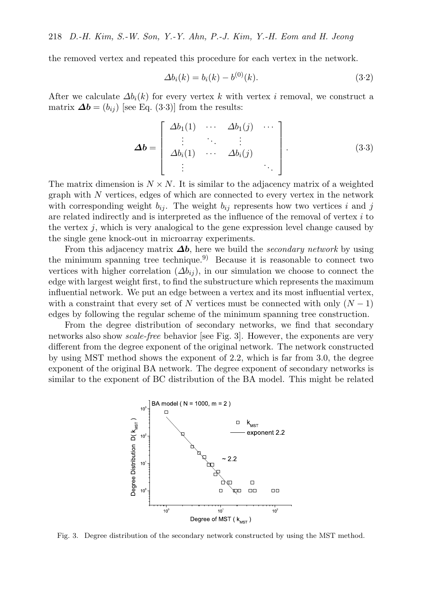the removed vertex and repeated this procedure for each vertex in the network.

$$
\Delta b_i(k) = b_i(k) - b^{(0)}(k). \tag{3.2}
$$

After we calculate  $\Delta b_i(k)$  for every vertex k with vertex i removal, we construct a matrix  $\Delta b = (b_{ij})$  [see Eq. (3.3)] from the results:

$$
\Delta b = \begin{bmatrix} \Delta b_1(1) & \cdots & \Delta b_1(j) & \cdots \\ \vdots & \ddots & \vdots & \vdots \\ \Delta b_i(1) & \cdots & \Delta b_i(j) & \cdots \\ \vdots & \ddots & \ddots & \vdots \end{bmatrix} .
$$
 (3.3)

The matrix dimension is  $N \times N$ . It is similar to the adjacency matrix of a weighted graph with N vertices, edges of which are connected to every vertex in the network with corresponding weight  $b_{ij}$ . The weight  $b_{ij}$  represents how two vertices i and j are related indirectly and is interpreted as the influence of the removal of vertex  $i$  to the vertex  $j$ , which is very analogical to the gene expression level change caused by the single gene knock-out in microarray experiments.

From this adjacency matrix *∆b*, here we build the *secondary network* by using the minimum spanning tree technique.<sup>9)</sup> Because it is reasonable to connect two vertices with higher correlation  $(\Delta b_{ij})$ , in our simulation we choose to connect the edge with largest weight first, to find the substructure which represents the maximum influential network. We put an edge between a vertex and its most influential vertex, with a constraint that every set of N vertices must be connected with only  $(N-1)$ edges by following the regular scheme of the minimum spanning tree construction.

From the degree distribution of secondary networks, we find that secondary networks also show *scale-free* behavior [see Fig. 3]. However, the exponents are very different from the degree exponent of the original network. The network constructed by using MST method shows the exponent of 2.2, which is far from 3.0, the degree exponent of the original BA network. The degree exponent of secondary networks is similar to the exponent of BC distribution of the BA model. This might be related



Fig. 3. Degree distribution of the secondary network constructed by using the MST method.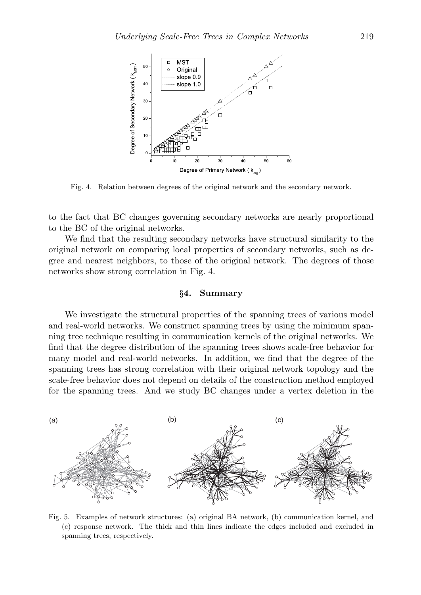

Fig. 4. Relation between degrees of the original network and the secondary network.

to the fact that BC changes governing secondary networks are nearly proportional to the BC of the original networks.

We find that the resulting secondary networks have structural similarity to the original network on comparing local properties of secondary networks, such as degree and nearest neighbors, to those of the original network. The degrees of those networks show strong correlation in Fig. 4.

# *§***4. Summary**

We investigate the structural properties of the spanning trees of various model and real-world networks. We construct spanning trees by using the minimum spanning tree technique resulting in communication kernels of the original networks. We find that the degree distribution of the spanning trees shows scale-free behavior for many model and real-world networks. In addition, we find that the degree of the spanning trees has strong correlation with their original network topology and the scale-free behavior does not depend on details of the construction method employed for the spanning trees. And we study BC changes under a vertex deletion in the



Fig. 5. Examples of network structures: (a) original BA network, (b) communication kernel, and (c) response network. The thick and thin lines indicate the edges included and excluded in spanning trees, respectively.